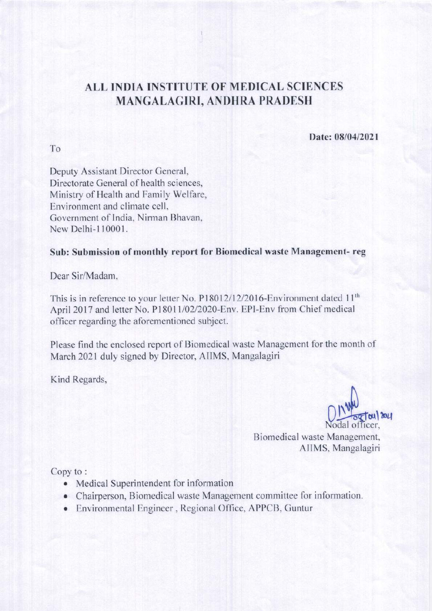## ALL INDIA INSTITUTE OF MEDICAL SCIENCES **MANGALAGIRI, ANDHRA PRADESH**

Date: 08/04/2021

Deputy Assistant Director General, Directorate General of health sciences, Ministry of Health and Family Welfare, Environment and climate cell, Government of India, Nirman Bhavan, New Delhi-110001.

## Sub: Submission of monthly report for Biomedical waste Management-reg

Dear Sir/Madam.

To

This is in reference to your letter No. P18012/12/2016-Environment dated 11<sup>th</sup> April 2017 and letter No. P18011/02/2020-Env. EPI-Env from Chief medical officer regarding the aforementioned subject.

Please find the enclosed report of Biomedical waste Management for the month of March 2021 duly signed by Director, AIIMS, Mangalagiri

Kind Regards,

 $\frac{1}{20}$ 

Biomedical waste Management, AIIMS, Mangalagiri

Copy to:

- Medical Superintendent for information
- Chairperson, Biomedical waste Management committee for information.
- Environmental Engineer, Regional Office, APPCB, Guntur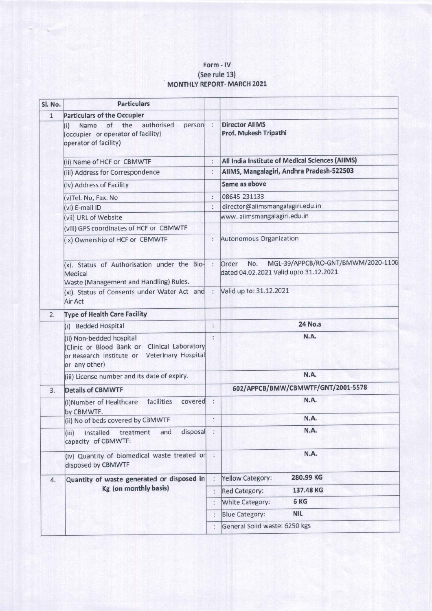## Form - lV (See rule 13) MONTHLY REPORT- MARCH 2021

| Sl. No.      | <b>Particulars</b>                                                                                                                       |                |                                                                                              |
|--------------|------------------------------------------------------------------------------------------------------------------------------------------|----------------|----------------------------------------------------------------------------------------------|
| $\mathbf{1}$ | <b>Particulars of the Occupier</b>                                                                                                       |                |                                                                                              |
|              | of<br>authorised<br>the<br>person :<br>Name<br>(i)<br>(occupier or operator of facility)<br>operator of facility)                        |                | <b>Director AllMS</b><br>Prof. Mukesh Tripathi                                               |
|              | (ii) Name of HCF or CBMWTF                                                                                                               | t.             | All India Institute of Medical Sciences (AIIMS)                                              |
|              | (iii) Address for Correspondence                                                                                                         | ř.             | AIIMS, Mangalagiri, Andhra Pradesh-522503                                                    |
|              | (iv) Address of Facility                                                                                                                 |                | Same as above                                                                                |
|              | (v)Tel. No, Fax. No                                                                                                                      | ÷              | 08645-231133                                                                                 |
|              | (vi) E-mail ID                                                                                                                           | ÷              | director@aiimsmangalagiri.edu.in                                                             |
|              | (vii) URL of Website                                                                                                                     |                | www.aiimsmangalagiri.edu.in                                                                  |
|              | (viii) GPS coordinates of HCF or CBMWTF                                                                                                  |                |                                                                                              |
|              | (ix) Ownership of HCF or CBMWTF                                                                                                          |                | Autonomous Organization                                                                      |
|              | (x). Status of Authorisation under the Bio-<br>Medical<br>Waste (Management and Handling) Rules.                                         | $\ddot{ }$     | MGL-39/APPCB/RO-GNT/BMWM/2020-1106<br>Order<br>No.<br>dated 04.02.2021 Valid upto 31.12.2021 |
|              | (xi). Status of Consents under Water Act and :<br>Air Act                                                                                |                | Valid up to: 31.12.2021                                                                      |
| 2.           | <b>Type of Health Care Facility</b>                                                                                                      |                |                                                                                              |
|              | (i) Bedded Hospital                                                                                                                      | ÷              | <b>24 No.s</b>                                                                               |
|              | (ii) Non-bedded hospital<br>Clinic or Blood Bank or Clinical Laboratory<br>or Research Institute or Veterinary Hospital<br>or any other) | Y.             | N.A.                                                                                         |
|              | (iii) License number and its date of expiry.                                                                                             |                | N.A.                                                                                         |
| 3.           | <b>Details of CBMWTF</b>                                                                                                                 |                | 602/APPCB/BMW/CBMWTF/GNT/2001-5578                                                           |
|              | facilities<br>covered<br>(i)Number of Healthcare<br>by CBMWTF.                                                                           | $\ddot{\cdot}$ | N.A.                                                                                         |
|              | (ii) No of beds covered by CBMWTF                                                                                                        | t.             | N.A.                                                                                         |
|              | disposal<br>and<br>Installed<br>treatment<br>(iii)<br>capacity of CBMWTF:                                                                | ÷              | N.A.                                                                                         |
|              | (iv) Quantity of biomedical waste treated or<br>disposed by CBMWTF                                                                       | $\ddot{\cdot}$ | N.A.                                                                                         |
| 4.           | Quantity of waste generated or disposed in<br>Kg (on monthly basis)                                                                      | ÷              | 280.99 KG<br>Yellow Category:                                                                |
|              |                                                                                                                                          | $\ddot{\cdot}$ | 137.48 KG<br><b>Red Category:</b>                                                            |
|              |                                                                                                                                          | $\ddot{\cdot}$ | 6 KG<br>White Category:                                                                      |
|              |                                                                                                                                          | ÷              | <b>NIL</b><br><b>Blue Category:</b>                                                          |
|              |                                                                                                                                          | ÷              | General Solid waste: 6250 kgs                                                                |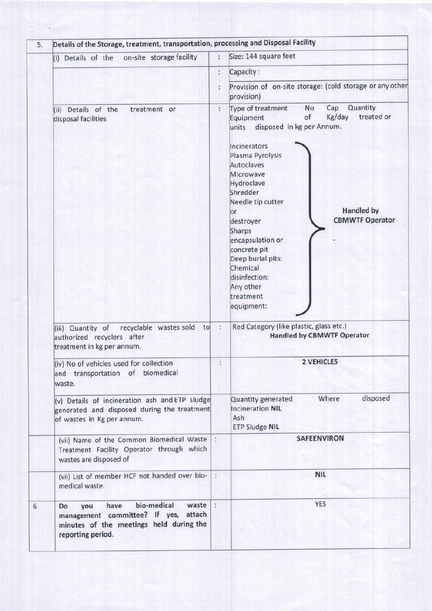| on-site storage facility<br>(i) Details of the                                                                                                      | Size: 144 square feet                                                                                                                                                                                                                                                                                                                                                                                                                                                                                    |
|-----------------------------------------------------------------------------------------------------------------------------------------------------|----------------------------------------------------------------------------------------------------------------------------------------------------------------------------------------------------------------------------------------------------------------------------------------------------------------------------------------------------------------------------------------------------------------------------------------------------------------------------------------------------------|
|                                                                                                                                                     | Capacity:                                                                                                                                                                                                                                                                                                                                                                                                                                                                                                |
|                                                                                                                                                     | Provision of on-site storage: (cold storage or any other<br>provision)                                                                                                                                                                                                                                                                                                                                                                                                                                   |
| (ii) Details of the<br>treatment or<br>disposal facilities<br>recyclable wastes sold<br>to                                                          | Quantity<br>Cap<br>Type of treatment<br>No<br>treated or<br>of<br>Kg/day<br>Equipment<br>units disposed in kg per Annum.<br>Incinerators<br>Plasma Pyrolysis<br>Autoclaves<br>Microwave<br>Hydroclave<br>Shredder<br>Needle tip cutter<br><b>Handled by</b><br>or<br><b>CBMWTF Operator</b><br>destroyer<br>Sharps<br>encapsulation or<br>concrete pit<br>Deep burial pits:<br>Chemical<br>disinfection:<br>Any other<br>treatment<br>equipment:<br>Red Category (like plastic, glass etc.)<br>$\cdot$ : |
| (iii) Quantity of<br>authorized recyclers after<br>treatment in kg per annum.                                                                       | <b>Handled by CBMWTF Operator</b>                                                                                                                                                                                                                                                                                                                                                                                                                                                                        |
| (iv) No of vehicles used for collection<br>and transportation of biomedical<br>waste.                                                               | <b>2 VEHICLES</b>                                                                                                                                                                                                                                                                                                                                                                                                                                                                                        |
| (v) Details of incineration ash and ETP sludge<br>generated and disposed during the treatment<br>of wastes in Kg per annum.                         | disposed<br>Where<br>Quantity generated<br><b>Incineration NIL</b><br>Ash<br><b>ETP Sludge NIL</b>                                                                                                                                                                                                                                                                                                                                                                                                       |
| (vii) Name of the Common Biomedical Waste :<br>Treatment Facility Operator through which<br>wastes are disposed of                                  | <b>SAFEENVIRON</b>                                                                                                                                                                                                                                                                                                                                                                                                                                                                                       |
| (vii) List of member HCF not handed over bio-<br>medical waste.                                                                                     | <b>NIL</b>                                                                                                                                                                                                                                                                                                                                                                                                                                                                                               |
| bio-medical<br>waste :<br>have<br>Do<br>you<br>management committee? If yes, attach<br>minutes of the meetings held during the<br>reporting period. | <b>YES</b>                                                                                                                                                                                                                                                                                                                                                                                                                                                                                               |